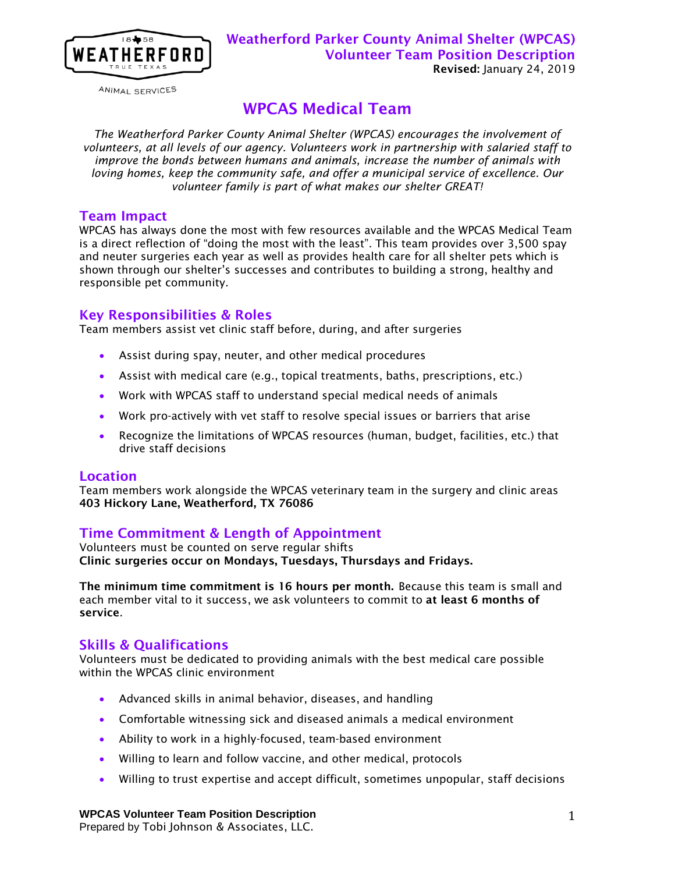

ANIMAL SERVICES

# WPCAS Medical Team

*The Weatherford Parker County Animal Shelter (WPCAS) encourages the involvement of volunteers, at all levels of our agency. Volunteers work in partnership with salaried staff to improve the bonds between humans and animals, increase the number of animals with loving homes, keep the community safe, and offer a municipal service of excellence. Our volunteer family is part of what makes our shelter GREAT!*

# Team Impact

WPCAS has always done the most with few resources available and the WPCAS Medical Team is a direct reflection of "doing the most with the least". This team provides over 3,500 spay and neuter surgeries each year as well as provides health care for all shelter pets which is shown through our shelter's successes and contributes to building a strong, healthy and responsible pet community.

# Key Responsibilities & Roles

Team members assist vet clinic staff before, during, and after surgeries

- Assist during spay, neuter, and other medical procedures
- Assist with medical care (e.g., topical treatments, baths, prescriptions, etc.)
- Work with WPCAS staff to understand special medical needs of animals
- Work pro-actively with vet staff to resolve special issues or barriers that arise
- Recognize the limitations of WPCAS resources (human, budget, facilities, etc.) that drive staff decisions

#### Location

Team members work alongside the WPCAS veterinary team in the surgery and clinic areas 403 Hickory Lane, Weatherford, TX 76086

# Time Commitment & Length of Appointment

Volunteers must be counted on serve regular shifts Clinic surgeries occur on Mondays, Tuesdays, Thursdays and Fridays.

The minimum time commitment is 16 hours per month. Because this team is small and each member vital to it success, we ask volunteers to commit to at least 6 months of service.

# Skills & Qualifications

Volunteers must be dedicated to providing animals with the best medical care possible within the WPCAS clinic environment

- Advanced skills in animal behavior, diseases, and handling
- Comfortable witnessing sick and diseased animals a medical environment
- Ability to work in a highly-focused, team-based environment
- Willing to learn and follow vaccine, and other medical, protocols
- Willing to trust expertise and accept difficult, sometimes unpopular, staff decisions

#### **WPCAS Volunteer Team Position Description**

Prepared by Tobi Johnson & Associates, LLC.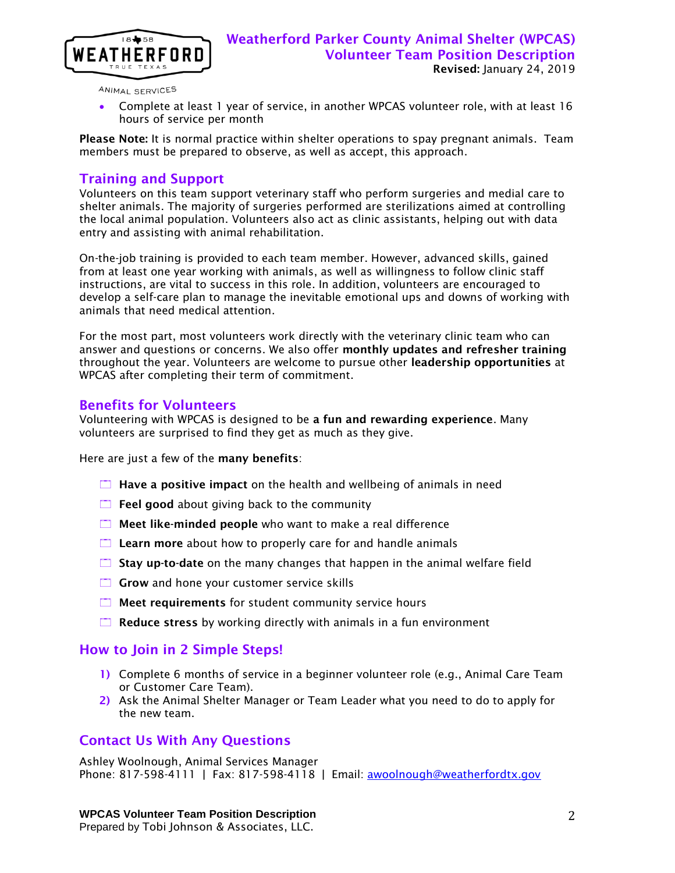

ANIMAL SERVICES

 Complete at least 1 year of service, in another WPCAS volunteer role, with at least 16 hours of service per month

Please Note: It is normal practice within shelter operations to spay pregnant animals. Team members must be prepared to observe, as well as accept, this approach.

# Training and Support

Volunteers on this team support veterinary staff who perform surgeries and medial care to shelter animals. The majority of surgeries performed are sterilizations aimed at controlling the local animal population. Volunteers also act as clinic assistants, helping out with data entry and assisting with animal rehabilitation.

On-the-job training is provided to each team member. However, advanced skills, gained from at least one year working with animals, as well as willingness to follow clinic staff instructions, are vital to success in this role. In addition, volunteers are encouraged to develop a self-care plan to manage the inevitable emotional ups and downs of working with animals that need medical attention.

For the most part, most volunteers work directly with the veterinary clinic team who can answer and questions or concerns. We also offer monthly updates and refresher training throughout the year. Volunteers are welcome to pursue other leadership opportunities at WPCAS after completing their term of commitment.

### Benefits for Volunteers

Volunteering with WPCAS is designed to be a fun and rewarding experience. Many volunteers are surprised to find they get as much as they give.

Here are just a few of the many benefits:

- $\Box$  Have a positive impact on the health and wellbeing of animals in need
- $\Box$  Feel good about giving back to the community
- $\Box$  Meet like-minded people who want to make a real difference
- $\Box$  Learn more about how to properly care for and handle animals
- $\Box$  Stay up-to-date on the many changes that happen in the animal welfare field
- $\Box$  Grow and hone your customer service skills
- $\Box$  Meet requirements for student community service hours
- $\Box$  Reduce stress by working directly with animals in a fun environment

# How to Join in 2 Simple Steps!

- 1) Complete 6 months of service in a beginner volunteer role (e.g., Animal Care Team or Customer Care Team).
- 2) Ask the Animal Shelter Manager or Team Leader what you need to do to apply for the new team.

# Contact Us With Any Questions

Ashley Woolnough, Animal Services Manager Phone: 817-598-4111 | Fax: 817-598-4118 | Email: [awoolnough@weatherfordtx.gov](mailto:awoolnough@weatherfordtx.gov)

#### **WPCAS Volunteer Team Position Description**

Prepared by Tobi Johnson & Associates, LLC.